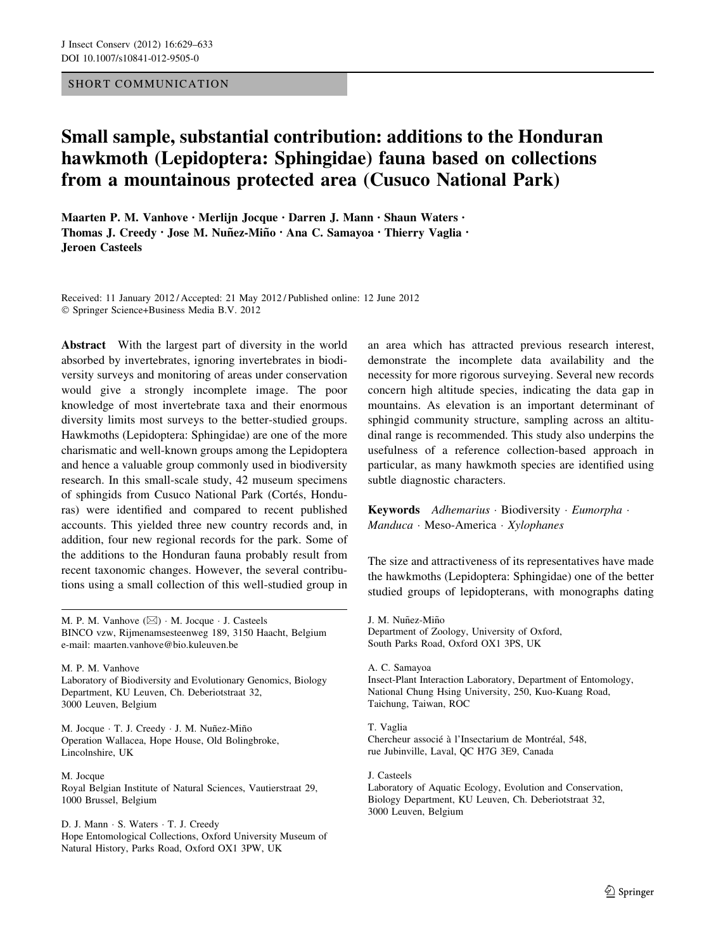## SHORT COMMUNICATION

## Small sample, substantial contribution: additions to the Honduran hawkmoth (Lepidoptera: Sphingidae) fauna based on collections from a mountainous protected area (Cusuco National Park)

Maarten P. M. Vanhove • Merlijn Jocque • Darren J. Mann • Shaun Waters • Thomas J. Creedy · Jose M. Nuñez-Miño · Ana C. Samayoa · Thierry Vaglia · Jeroen Casteels

Received: 11 January 2012 / Accepted: 21 May 2012 / Published online: 12 June 2012 - Springer Science+Business Media B.V. 2012

Abstract With the largest part of diversity in the world absorbed by invertebrates, ignoring invertebrates in biodiversity surveys and monitoring of areas under conservation would give a strongly incomplete image. The poor knowledge of most invertebrate taxa and their enormous diversity limits most surveys to the better-studied groups. Hawkmoths (Lepidoptera: Sphingidae) are one of the more charismatic and well-known groups among the Lepidoptera and hence a valuable group commonly used in biodiversity research. In this small-scale study, 42 museum specimens of sphingids from Cusuco National Park (Cortés, Honduras) were identified and compared to recent published accounts. This yielded three new country records and, in addition, four new regional records for the park. Some of the additions to the Honduran fauna probably result from recent taxonomic changes. However, the several contributions using a small collection of this well-studied group in

M. P. M. Vanhove  $(\boxtimes) \cdot$  M. Jocque  $\cdot$  J. Casteels BINCO vzw, Rijmenamsesteenweg 189, 3150 Haacht, Belgium e-mail: maarten.vanhove@bio.kuleuven.be

M. P. M. Vanhove Laboratory of Biodiversity and Evolutionary Genomics, Biology Department, KU Leuven, Ch. Deberiotstraat 32, 3000 Leuven, Belgium

M. Jocque · T. J. Creedy · J. M. Nuñez-Miño Operation Wallacea, Hope House, Old Bolingbroke, Lincolnshire, UK

M. Jocque Royal Belgian Institute of Natural Sciences, Vautierstraat 29, 1000 Brussel, Belgium

D. J. Mann - S. Waters - T. J. Creedy Hope Entomological Collections, Oxford University Museum of Natural History, Parks Road, Oxford OX1 3PW, UK

an area which has attracted previous research interest, demonstrate the incomplete data availability and the necessity for more rigorous surveying. Several new records concern high altitude species, indicating the data gap in mountains. As elevation is an important determinant of sphingid community structure, sampling across an altitudinal range is recommended. This study also underpins the usefulness of a reference collection-based approach in particular, as many hawkmoth species are identified using subtle diagnostic characters.

Keywords Adhemarius · Biodiversity · Eumorpha · Manduca · Meso-America · Xylophanes

The size and attractiveness of its representatives have made the hawkmoths (Lepidoptera: Sphingidae) one of the better studied groups of lepidopterans, with monographs dating

J. M. Nuñez-Miño Department of Zoology, University of Oxford, South Parks Road, Oxford OX1 3PS, UK

A. C. Samayoa Insect-Plant Interaction Laboratory, Department of Entomology, National Chung Hsing University, 250, Kuo-Kuang Road, Taichung, Taiwan, ROC

T. Vaglia Chercheur associé à l'Insectarium de Montréal, 548, rue Jubinville, Laval, QC H7G 3E9, Canada

J. Casteels Laboratory of Aquatic Ecology, Evolution and Conservation, Biology Department, KU Leuven, Ch. Deberiotstraat 32, 3000 Leuven, Belgium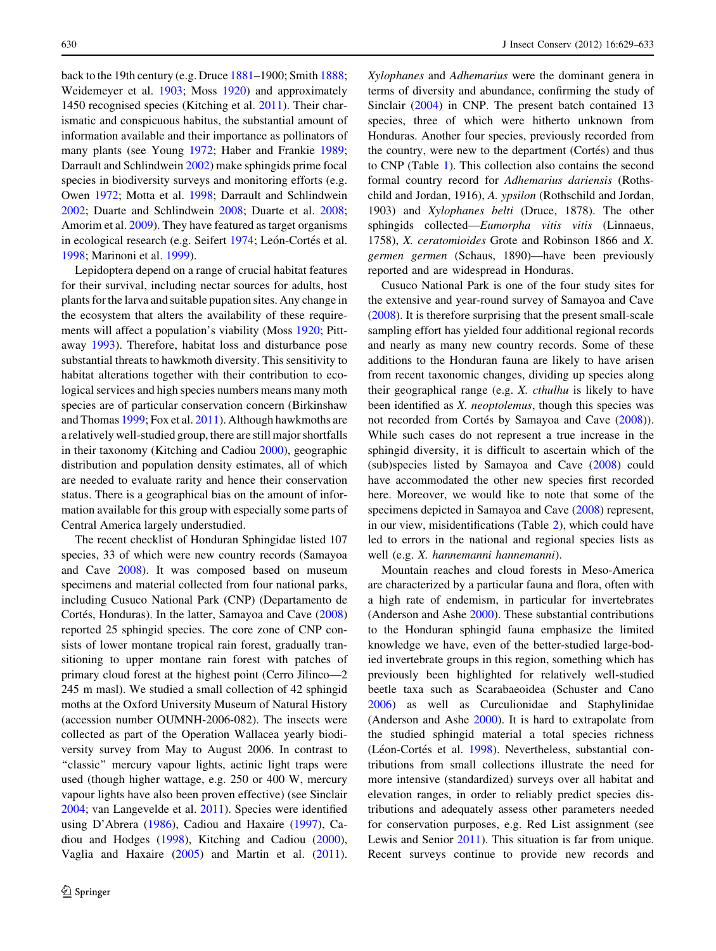back to the 19th century (e.g. Druce [1881](#page-3-0)–1900; Smith [1888](#page-4-0); Weidemeyer et al. [1903](#page-4-0); Moss [1920\)](#page-4-0) and approximately 1450 recognised species (Kitching et al. [2011](#page-3-0)). Their charismatic and conspicuous habitus, the substantial amount of information available and their importance as pollinators of many plants (see Young [1972](#page-4-0); Haber and Frankie [1989](#page-3-0); Darrault and Schlindwein [2002\)](#page-3-0) make sphingids prime focal species in biodiversity surveys and monitoring efforts (e.g. Owen [1972;](#page-4-0) Motta et al. [1998](#page-4-0); Darrault and Schlindwein [2002;](#page-3-0) Duarte and Schlindwein [2008](#page-3-0); Duarte et al. [2008](#page-3-0); Amorim et al. [2009\)](#page-3-0). They have featured as target organisms in ecological research (e.g. Seifert [1974](#page-4-0); León-Cortés et al. [1998;](#page-3-0) Marinoni et al. [1999](#page-3-0)).

Lepidoptera depend on a range of crucial habitat features for their survival, including nectar sources for adults, host plants for the larva and suitable pupation sites. Any change in the ecosystem that alters the availability of these requirements will affect a population's viability (Moss [1920](#page-4-0); Pittaway [1993](#page-4-0)). Therefore, habitat loss and disturbance pose substantial threats to hawkmoth diversity. This sensitivity to habitat alterations together with their contribution to ecological services and high species numbers means many moth species are of particular conservation concern (Birkinshaw and Thomas [1999;](#page-3-0) Fox et al. [2011](#page-3-0)). Although hawkmoths are a relatively well-studied group, there are still major shortfalls in their taxonomy (Kitching and Cadiou [2000\)](#page-3-0), geographic distribution and population density estimates, all of which are needed to evaluate rarity and hence their conservation status. There is a geographical bias on the amount of information available for this group with especially some parts of Central America largely understudied.

The recent checklist of Honduran Sphingidae listed 107 species, 33 of which were new country records (Samayoa and Cave [2008](#page-4-0)). It was composed based on museum specimens and material collected from four national parks, including Cusuco National Park (CNP) (Departamento de Cortés, Honduras). In the latter, Samayoa and Cave ([2008\)](#page-4-0) reported 25 sphingid species. The core zone of CNP consists of lower montane tropical rain forest, gradually transitioning to upper montane rain forest with patches of primary cloud forest at the highest point (Cerro Jilinco—2 245 m masl). We studied a small collection of 42 sphingid moths at the Oxford University Museum of Natural History (accession number OUMNH-2006-082). The insects were collected as part of the Operation Wallacea yearly biodiversity survey from May to August 2006. In contrast to "classic" mercury vapour lights, actinic light traps were used (though higher wattage, e.g. 250 or 400 W, mercury vapour lights have also been proven effective) (see Sinclair [2004;](#page-4-0) van Langevelde et al. [2011\)](#page-4-0). Species were identified using D'Abrera ([1986\)](#page-3-0), Cadiou and Haxaire ([1997\)](#page-3-0), Cadiou and Hodges ([1998\)](#page-3-0), Kitching and Cadiou [\(2000](#page-3-0)), Vaglia and Haxaire [\(2005](#page-4-0)) and Martin et al. [\(2011](#page-4-0)).

Xylophanes and Adhemarius were the dominant genera in terms of diversity and abundance, confirming the study of Sinclair [\(2004](#page-4-0)) in CNP. The present batch contained 13 species, three of which were hitherto unknown from Honduras. Another four species, previously recorded from the country, were new to the department (Cortés) and thus to CNP (Table [1\)](#page-2-0). This collection also contains the second formal country record for Adhemarius dariensis (Rothschild and Jordan, 1916), A. ypsilon (Rothschild and Jordan, 1903) and Xylophanes belti (Druce, 1878). The other sphingids collected—Eumorpha vitis vitis (Linnaeus, 1758), X. ceratomioides Grote and Robinson 1866 and X. germen germen (Schaus, 1890)—have been previously reported and are widespread in Honduras.

Cusuco National Park is one of the four study sites for the extensive and year-round survey of Samayoa and Cave [\(2008](#page-4-0)). It is therefore surprising that the present small-scale sampling effort has yielded four additional regional records and nearly as many new country records. Some of these additions to the Honduran fauna are likely to have arisen from recent taxonomic changes, dividing up species along their geographical range (e.g. X. cthulhu is likely to have been identified as X. neoptolemus, though this species was not recorded from Cortés by Samayoa and Cave [\(2008](#page-4-0))). While such cases do not represent a true increase in the sphingid diversity, it is difficult to ascertain which of the (sub)species listed by Samayoa and Cave ([2008](#page-4-0)) could have accommodated the other new species first recorded here. Moreover, we would like to note that some of the specimens depicted in Samayoa and Cave [\(2008](#page-4-0)) represent, in our view, misidentifications (Table [2](#page-2-0)), which could have led to errors in the national and regional species lists as well (e.g. X. hannemanni hannemanni).

Mountain reaches and cloud forests in Meso-America are characterized by a particular fauna and flora, often with a high rate of endemism, in particular for invertebrates (Anderson and Ashe [2000](#page-3-0)). These substantial contributions to the Honduran sphingid fauna emphasize the limited knowledge we have, even of the better-studied large-bodied invertebrate groups in this region, something which has previously been highlighted for relatively well-studied beetle taxa such as Scarabaeoidea (Schuster and Cano [2006](#page-4-0)) as well as Curculionidae and Staphylinidae (Anderson and Ashe [2000](#page-3-0)). It is hard to extrapolate from the studied sphingid material a total species richness (Léon-Cortés et al. [1998](#page-3-0)). Nevertheless, substantial contributions from small collections illustrate the need for more intensive (standardized) surveys over all habitat and elevation ranges, in order to reliably predict species distributions and adequately assess other parameters needed for conservation purposes, e.g. Red List assignment (see Lewis and Senior [2011](#page-3-0)). This situation is far from unique. Recent surveys continue to provide new records and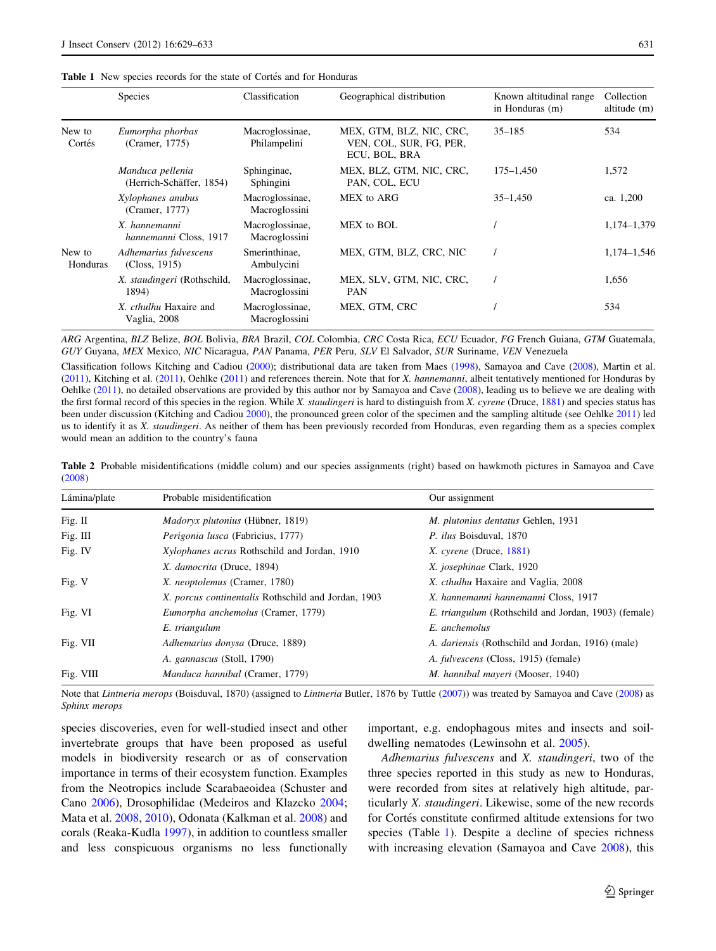<span id="page-2-0"></span>

|                    | Species                                      | Classification                   | Geographical distribution                                            | Known altitudinal range<br>in Honduras (m) | Collection<br>altitude (m) |
|--------------------|----------------------------------------------|----------------------------------|----------------------------------------------------------------------|--------------------------------------------|----------------------------|
| New to<br>Cortés   | Eumorpha phorbas<br>(Cramer, 1775)           | Macroglossinae,<br>Philampelini  | MEX, GTM, BLZ, NIC, CRC,<br>VEN, COL, SUR, FG, PER,<br>ECU, BOL, BRA | $35 - 185$                                 | 534                        |
|                    | Manduca pellenia<br>(Herrich-Schäffer, 1854) | Sphinginae,<br>Sphingini         | MEX, BLZ, GTM, NIC, CRC,<br>PAN, COL, ECU                            | 175–1.450                                  | 1,572                      |
|                    | Xylophanes anubus<br>(Cramer, 1777)          | Macroglossinae,<br>Macroglossini | MEX to ARG                                                           | $35 - 1,450$                               | ca. 1,200                  |
|                    | X. hannemanni<br>hannemanni Closs, 1917      | Macroglossinae,<br>Macroglossini | MEX to BOL                                                           |                                            | 1,174-1,379                |
| New to<br>Honduras | Adhemarius fulvescens<br>(Closs, 1915)       | Smerinthinae,<br>Ambulycini      | MEX, GTM, BLZ, CRC, NIC                                              |                                            | 1,174-1,546                |
|                    | X. staudingeri (Rothschild,<br>1894)         | Macroglossinae,<br>Macroglossini | MEX, SLV, GTM, NIC, CRC,<br><b>PAN</b>                               |                                            | 1,656                      |
|                    | X. cthulhu Haxaire and<br>Vaglia, 2008       | Macroglossinae,<br>Macroglossini | MEX, GTM, CRC                                                        |                                            | 534                        |

ARG Argentina, BLZ Belize, BOL Bolivia, BRA Brazil, COL Colombia, CRC Costa Rica, ECU Ecuador, FG French Guiana, GTM Guatemala, GUY Guyana, MEX Mexico, NIC Nicaragua, PAN Panama, PER Peru, SLV El Salvador, SUR Suriname, VEN Venezuela

Classification follows Kitching and Cadiou ([2000\)](#page-3-0); distributional data are taken from Maes [\(1998](#page-3-0)), Samayoa and Cave ([2008](#page-4-0)), Martin et al. ([2011\)](#page-4-0), Kitching et al. [\(2011](#page-4-0)), Oehlke (2011) and references therein. Note that for X. hannemanni, albeit tentatively mentioned for Honduras by Oehlke ([2011\)](#page-4-0), no detailed observations are provided by this author nor by Samayoa and Cave [\(2008](#page-4-0)), leading us to believe we are dealing with the first formal record of this species in the region. While X. *staudingeri* is hard to distinguish from X. *cyrene* (Druce, [1881](#page-3-0)) and species status has been under discussion (Kitching and Cadiou [2000\)](#page-3-0), the pronounced green color of the specimen and the sampling altitude (see Oehlke [2011\)](#page-4-0) led us to identify it as X. staudingeri. As neither of them has been previously recorded from Honduras, even regarding them as a species complex would mean an addition to the country's fauna

Table 2 Probable misidentifications (middle colum) and our species assignments (right) based on hawkmoth pictures in Samayoa and Cave ([2008\)](#page-4-0)

| Lámina/plate | Probable misidentification                          | Our assignment                                              |
|--------------|-----------------------------------------------------|-------------------------------------------------------------|
| Fig. II      | <i>Madoryx plutonius</i> (Hübner, 1819)             | M. plutonius dentatus Gehlen, 1931                          |
| Fig. $III$   | Perigonia lusca (Fabricius, 1777)                   | P. ilus Boisduval, 1870                                     |
| Fig. IV      | Xylophanes acrus Rothschild and Jordan, 1910        | $X.$ cyrene (Druce, 1881)                                   |
|              | X. damocrita (Druce, 1894)                          | X. josephinae Clark, 1920                                   |
| Fig. V       | X. <i>neoptolemus</i> (Cramer, 1780)                | X. cthulhu Haxaire and Vaglia, 2008                         |
|              | X. porcus continentalis Rothschild and Jordan, 1903 | X. hannemanni hannemanni Closs, 1917                        |
| Fig. VI      | Eumorpha anchemolus (Cramer, 1779)                  | <i>E. triangulum</i> (Rothschild and Jordan, 1903) (female) |
|              | E. triangulum                                       | E. anchemolus                                               |
| Fig. $VII$   | Adhemarius donysa (Druce, 1889)                     | A. <i>dariensis</i> (Rothschild and Jordan, 1916) (male)    |
|              | A. gannascus (Stoll, 1790)                          | A. fulvescens (Closs, 1915) (female)                        |
| Fig. VIII    | <i>Manduca hannibal</i> (Cramer, 1779)              | M. hannibal mayeri (Mooser, 1940)                           |

Note that Lintneria merops (Boisduval, 1870) (assigned to Lintneria Butler, 1876 by Tuttle ([2007\)](#page-4-0)) was treated by Samayoa and Cave [\(2008](#page-4-0)) as Sphinx merops

species discoveries, even for well-studied insect and other invertebrate groups that have been proposed as useful models in biodiversity research or as of conservation importance in terms of their ecosystem function. Examples from the Neotropics include Scarabaeoidea (Schuster and Cano [2006\)](#page-4-0), Drosophilidae (Medeiros and Klazcko [2004](#page-4-0); Mata et al. [2008,](#page-4-0) [2010](#page-4-0)), Odonata (Kalkman et al. [2008](#page-3-0)) and corals (Reaka-Kudla [1997\)](#page-4-0), in addition to countless smaller and less conspicuous organisms no less functionally

important, e.g. endophagous mites and insects and soildwelling nematodes (Lewinsohn et al. [2005](#page-3-0)).

Adhemarius fulvescens and X. staudingeri, two of the three species reported in this study as new to Honduras, were recorded from sites at relatively high altitude, particularly X. staudingeri. Likewise, some of the new records for Cortés constitute confirmed altitude extensions for two species (Table 1). Despite a decline of species richness with increasing elevation (Samayoa and Cave [2008](#page-4-0)), this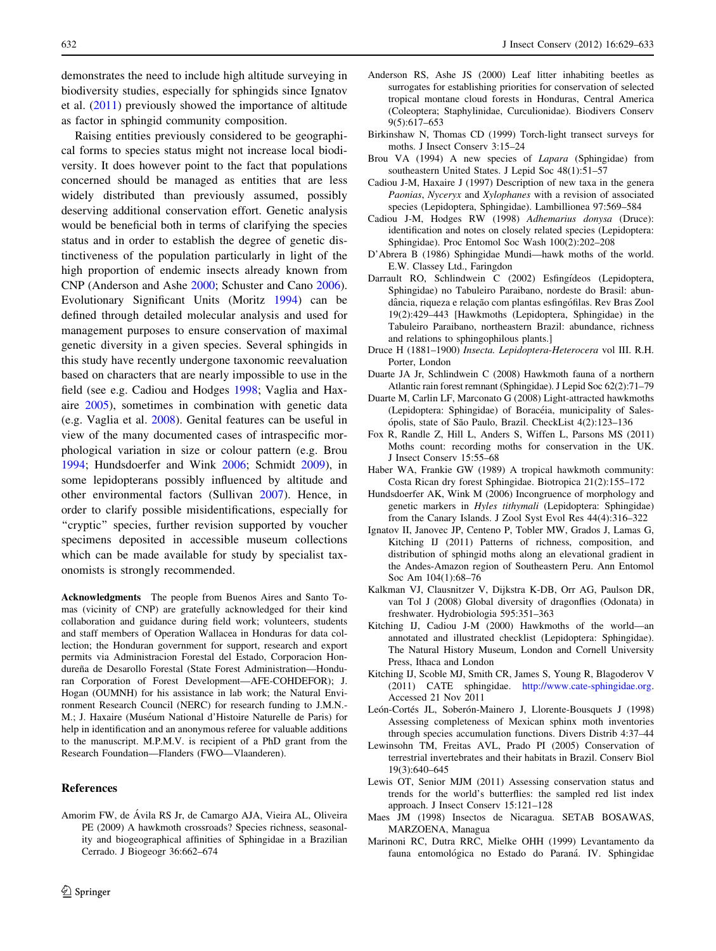<span id="page-3-0"></span>demonstrates the need to include high altitude surveying in biodiversity studies, especially for sphingids since Ignatov et al. (2011) previously showed the importance of altitude as factor in sphingid community composition.

Raising entities previously considered to be geographical forms to species status might not increase local biodiversity. It does however point to the fact that populations concerned should be managed as entities that are less widely distributed than previously assumed, possibly deserving additional conservation effort. Genetic analysis would be beneficial both in terms of clarifying the species status and in order to establish the degree of genetic distinctiveness of the population particularly in light of the high proportion of endemic insects already known from CNP (Anderson and Ashe 2000; Schuster and Cano [2006](#page-4-0)). Evolutionary Significant Units (Moritz [1994\)](#page-4-0) can be defined through detailed molecular analysis and used for management purposes to ensure conservation of maximal genetic diversity in a given species. Several sphingids in this study have recently undergone taxonomic reevaluation based on characters that are nearly impossible to use in the field (see e.g. Cadiou and Hodges 1998; Vaglia and Haxaire [2005\)](#page-4-0), sometimes in combination with genetic data (e.g. Vaglia et al. [2008](#page-4-0)). Genital features can be useful in view of the many documented cases of intraspecific morphological variation in size or colour pattern (e.g. Brou 1994; Hundsdoerfer and Wink 2006; Schmidt [2009\)](#page-4-0), in some lepidopterans possibly influenced by altitude and other environmental factors (Sullivan [2007](#page-4-0)). Hence, in order to clarify possible misidentifications, especially for "cryptic" species, further revision supported by voucher specimens deposited in accessible museum collections which can be made available for study by specialist taxonomists is strongly recommended.

Acknowledgments The people from Buenos Aires and Santo Tomas (vicinity of CNP) are gratefully acknowledged for their kind collaboration and guidance during field work; volunteers, students and staff members of Operation Wallacea in Honduras for data collection; the Honduran government for support, research and export permits via Administracion Forestal del Estado, Corporacion Hondureña de Desarollo Forestal (State Forest Administration-Honduran Corporation of Forest Development—AFE-COHDEFOR); J. Hogan (OUMNH) for his assistance in lab work; the Natural Environment Research Council (NERC) for research funding to J.M.N.- M.; J. Haxaire (Muséum National d'Histoire Naturelle de Paris) for help in identification and an anonymous referee for valuable additions to the manuscript. M.P.M.V. is recipient of a PhD grant from the Research Foundation—Flanders (FWO—Vlaanderen).

## References

Amorim FW, de Ávila RS Jr, de Camargo AJA, Vieira AL, Oliveira PE (2009) A hawkmoth crossroads? Species richness, seasonality and biogeographical affinities of Sphingidae in a Brazilian Cerrado. J Biogeogr 36:662–674

- Anderson RS, Ashe JS (2000) Leaf litter inhabiting beetles as surrogates for establishing priorities for conservation of selected tropical montane cloud forests in Honduras, Central America (Coleoptera; Staphylinidae, Curculionidae). Biodivers Conserv 9(5):617–653
- Birkinshaw N, Thomas CD (1999) Torch-light transect surveys for moths. J Insect Conserv 3:15–24
- Brou VA (1994) A new species of *Lapara* (Sphingidae) from southeastern United States. J Lepid Soc 48(1):51–57
- Cadiou J-M, Haxaire J (1997) Description of new taxa in the genera Paonias, Nyceryx and Xylophanes with a revision of associated species (Lepidoptera, Sphingidae). Lambillionea 97:569–584
- Cadiou J-M, Hodges RW (1998) Adhemarius donysa (Druce): identification and notes on closely related species (Lepidoptera: Sphingidae). Proc Entomol Soc Wash 100(2):202–208
- D'Abrera B (1986) Sphingidae Mundi—hawk moths of the world. E.W. Classey Ltd., Faringdon
- Darrault RO, Schlindwein C (2002) Esfingı´deos (Lepidoptera, Sphingidae) no Tabuleiro Paraibano, nordeste do Brasil: abundância, riqueza e relação com plantas esfingófilas. Rev Bras Zool 19(2):429–443 [Hawkmoths (Lepidoptera, Sphingidae) in the Tabuleiro Paraibano, northeastern Brazil: abundance, richness and relations to sphingophilous plants.]
- Druce H (1881–1900) Insecta. Lepidoptera-Heterocera vol III. R.H. Porter, London
- Duarte JA Jr, Schlindwein C (2008) Hawkmoth fauna of a northern Atlantic rain forest remnant (Sphingidae). J Lepid Soc 62(2):71–79
- Duarte M, Carlin LF, Marconato G (2008) Light-attracted hawkmoths (Lepidoptera: Sphingidae) of Boracéia, municipality of Salesópolis, state of São Paulo, Brazil. CheckList 4(2):123-136
- Fox R, Randle Z, Hill L, Anders S, Wiffen L, Parsons MS (2011) Moths count: recording moths for conservation in the UK. J Insect Conserv 15:55–68
- Haber WA, Frankie GW (1989) A tropical hawkmoth community: Costa Rican dry forest Sphingidae. Biotropica 21(2):155–172
- Hundsdoerfer AK, Wink M (2006) Incongruence of morphology and genetic markers in Hyles tithymali (Lepidoptera: Sphingidae) from the Canary Islands. J Zool Syst Evol Res 44(4):316–322
- Ignatov II, Janovec JP, Centeno P, Tobler MW, Grados J, Lamas G, Kitching IJ (2011) Patterns of richness, composition, and distribution of sphingid moths along an elevational gradient in the Andes-Amazon region of Southeastern Peru. Ann Entomol Soc Am 104(1):68–76
- Kalkman VJ, Clausnitzer V, Dijkstra K-DB, Orr AG, Paulson DR, van Tol J (2008) Global diversity of dragonflies (Odonata) in freshwater. Hydrobiologia 595:351–363
- Kitching IJ, Cadiou J-M (2000) Hawkmoths of the world—an annotated and illustrated checklist (Lepidoptera: Sphingidae). The Natural History Museum, London and Cornell University Press, Ithaca and London
- Kitching IJ, Scoble MJ, Smith CR, James S, Young R, Blagoderov V (2011) CATE sphingidae. <http://www.cate-sphingidae.org>. Accessed 21 Nov 2011
- León-Cortés JL, Soberón-Mainero J, Llorente-Bousquets J (1998) Assessing completeness of Mexican sphinx moth inventories through species accumulation functions. Divers Distrib 4:37–44
- Lewinsohn TM, Freitas AVL, Prado PI (2005) Conservation of terrestrial invertebrates and their habitats in Brazil. Conserv Biol 19(3):640–645
- Lewis OT, Senior MJM (2011) Assessing conservation status and trends for the world's butterflies: the sampled red list index approach. J Insect Conserv 15:121–128
- Maes JM (1998) Insectos de Nicaragua. SETAB BOSAWAS, MARZOENA, Managua
- Marinoni RC, Dutra RRC, Mielke OHH (1999) Levantamento da fauna entomológica no Estado do Paraná. IV. Sphingidae